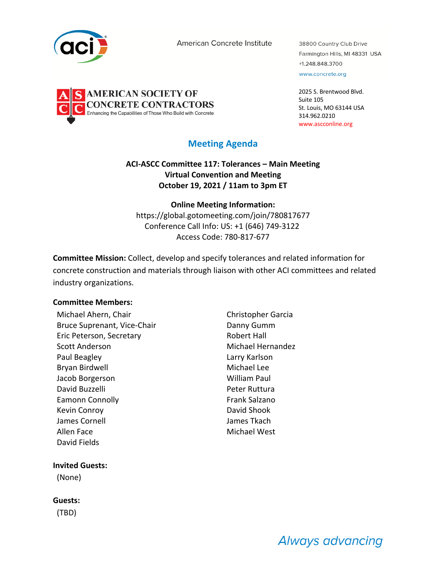

**AMERICAN SOCIETY OF** 

**NCRETE CONTRACTORS** abilities of Those Who Build with Concrete

American Concrete Institute

38800 Country Club Drive Farmington Hills, MI 48331 USA +1.248.848.3700 www.concrete.org

2025 S. Brentwood Blvd. Suite 105 St. Louis, MO 63144 USA 314.962.0210 www.ascconline.org

# **Meeting Agenda**

## **ACI-ASCC Committee 117: Tolerances – Main Meeting Virtual Convention and Meeting October 19, 2021 / 11am to 3pm ET**

**Online Meeting Information:** https://global.gotomeeting.com/join/780817677 Conference Call Info: US: +1 (646) 749-3122 Access Code: 780-817-677

**Committee Mission:** Collect, develop and specify tolerances and related information for concrete construction and materials through liaison with other ACI committees and related industry organizations.

## **Committee Members:**

Michael Ahern, Chair Christopher Garcia Bruce Suprenant, Vice-Chair **Danny Gumm** Eric Peterson, Secretary **Robert Hall** Scott Anderson **Michael Hernandez** Paul Beagley Larry Karlson Bryan Birdwell Michael Lee Jacob Borgerson William Paul David Buzzelli Peter Ruttura Eamonn Connolly **Frank Salzano** Kevin Conroy **David Shook** James Cornell James Tkach Allen Face Michael West David Fields

#### **Invited Guests:**

(None)

#### **Guests:**

(TBD)

Always advancing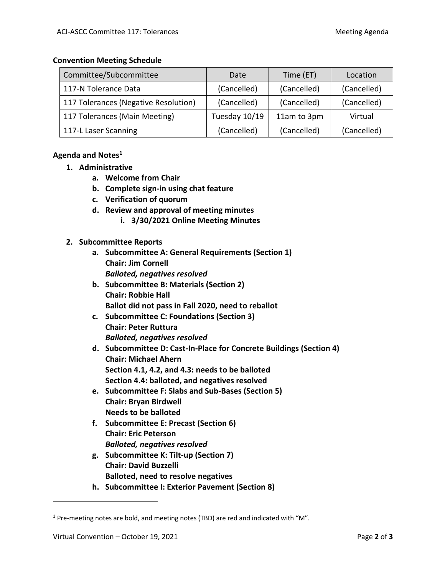#### **Convention Meeting Schedule**

| Committee/Subcommittee               | Date          | Time (ET)   | Location    |
|--------------------------------------|---------------|-------------|-------------|
| 117-N Tolerance Data                 | (Cancelled)   | (Cancelled) | (Cancelled) |
| 117 Tolerances (Negative Resolution) | (Cancelled)   | (Cancelled) | (Cancelled) |
| 117 Tolerances (Main Meeting)        | Tuesday 10/19 | 11am to 3pm | Virtual     |
| 117-L Laser Scanning                 | (Cancelled)   | (Cancelled) | (Cancelled) |

# **Agenda and Notes1**

- **1. Administrative**
	- **a. Welcome from Chair**
	- **b. Complete sign-in using chat feature**
	- **c. Verification of quorum**
	- **d. Review and approval of meeting minutes**
		- **i. 3/30/2021 Online Meeting Minutes**

## **2. Subcommittee Reports**

- **a. Subcommittee A: General Requirements (Section 1) Chair: Jim Cornell** *Balloted, negatives resolved*
- **b. Subcommittee B: Materials (Section 2) Chair: Robbie Hall Ballot did not pass in Fall 2020, need to reballot**
- **c. Subcommittee C: Foundations (Section 3) Chair: Peter Ruttura** *Balloted, negatives resolved*
- **d. Subcommittee D: Cast-In-Place for Concrete Buildings (Section 4) Chair: Michael Ahern Section 4.1, 4.2, and 4.3: needs to be balloted Section 4.4: balloted, and negatives resolved**
- **e. Subcommittee F: Slabs and Sub-Bases (Section 5) Chair: Bryan Birdwell Needs to be balloted**
- **f. Subcommittee E: Precast (Section 6) Chair: Eric Peterson** *Balloted, negatives resolved*
- **g. Subcommittee K: Tilt-up (Section 7) Chair: David Buzzelli Balloted, need to resolve negatives**
- **h. Subcommittee I: Exterior Pavement (Section 8)**

 $1$  Pre-meeting notes are bold, and meeting notes (TBD) are red and indicated with "M".